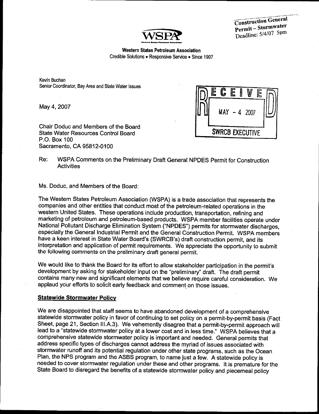

**Construction General** Permit-Stormwater Deadline: 5/4/07 5pm

#### **Western States Petroleum Association**

Credible Solutions . Responsive Service . Since 1907

Kevin Buchan Senior Coordinator, Bay Area and State Water Issues

May 4, 2007

Chair Doduc and Members of the Board **State Water Resources Control Board** P.O. Box 100 Sacramento, CA 95812-0100



WSPA Comments on the Preliminary Draft General NPDES Permit for Construction Re: **Activities** 

Ms. Doduc, and Members of the Board:

The Western States Petroleum Association (WSPA) is a trade association that represents the companies and other entities that conduct most of the petroleum-related operations in the western United States. These operations include production, transportation, refining and marketing of petroleum and petroleum-based products. WSPA member facilities operate under National Pollutant Discharge Elimination System ("NPDES") permits for stormwater discharges, especially the General Industrial Permit and the General Construction Permit. WSPA members have a keen interest in State Water Board's (SWRCB's) draft construction permit, and its interpretation and application of permit requirements. We appreciate the opportunity to submit the following comments on the preliminary draft general permit.

We would like to thank the Board for its effort to allow stakeholder participation in the permit's development by asking for stakeholder input on the "preliminary" draft. The draft permit contains many new and significant elements that we believe require careful consideration. We applaud your efforts to solicit early feedback and comment on those issues.

#### **Statewide Stormwater Policy**

We are disappointed that staff seems to have abandoned development of a comprehensive statewide stormwater policy in favor of continuing to set policy on a permit-by-permit basis (Fact Sheet, page 21, Section III.A.3). We vehemently disagree that a permit-by-permit approach will lead to a "statewide stormwater policy at a lower cost and in less time." WSPA believes that a comprehensive statewide stormwater policy is important and needed. General permits that address specific types of discharges cannot address the myriad of issues associated with stormwater runoff and its potential regulation under other state programs, such as the Ocean Plan, the NPS program and the ASBS program, to name just a few. A statewide policy is needed to cover stormwater regulation under these and other programs. It is premature for the State Board to disregard the benefits of a statewide stormwater policy and piecemeal policy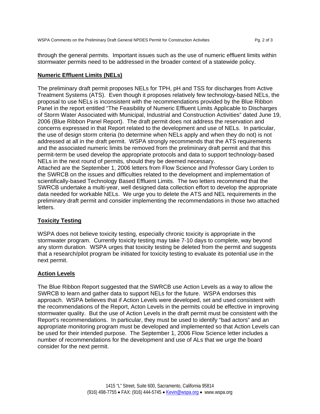through the general permits. Important issues such as the use of numeric effluent limits within stormwater permits need to be addressed in the broader context of a statewide policy.

## **Numeric Effluent Limits (NELs)**

The preliminary draft permit proposes NELs for TPH, pH and TSS for discharges from Active Treatment Systems (ATS). Even though it proposes relatively few technology-based NELs, the proposal to use NELs is inconsistent with the recommendations provided by the Blue Ribbon Panel in the report entitled "The Feasibility of Numeric Effluent Limits Applicable to Discharges of Storm Water Associated with Municipal, Industrial and Construction Activities" dated June 19, 2006 (Blue Ribbon Panel Report). The draft permit does not address the reservation and concerns expressed in that Report related to the development and use of NELs. In particular, the use of design storm criteria (to determine when NELs apply and when they do not) is not addressed at all in the draft permit. WSPA strongly recommends that the ATS requirements and the associated numeric limits be removed from the preliminary draft permit and that this permit-term be used develop the appropriate protocols and data to support technology-based NELs in the next round of permits, should they be deemed necessary.

Attached are the September 1, 2006 letters from Flow Science and Professor Gary Lorden to the SWRCB on the issues and difficulties related to the development and implementation of scientifically-based Technology Based Effluent Limits. The two letters recommend that the SWRCB undertake a multi-year, well designed data collection effort to develop the appropriate data needed for workable NELs. We urge you to delete the ATS and NEL requirements in the preliminary draft permit and consider implementing the recommendations in those two attached letters.

# **Toxicity Testing**

WSPA does not believe toxicity testing, especially chronic toxicity is appropriate in the stormwater program. Currently toxicity testing may take 7-10 days to complete, way beyond any storm duration. WSPA urges that toxicity testing be deleted from the permit and suggests that a research/pilot program be initiated for toxicity testing to evaluate its potential use in the next permit.

# **Action Levels**

The Blue Ribbon Report suggested that the SWRCB use Action Levels as a way to allow the SWRCB to learn and gather data to support NELs for the future. WSPA endorses this approach. WSPA believes that if Action Levels were developed, set and used consistent with the recommendations of the Report, Acton Levels in the permits could be effective in improving stormwater quality. But the use of Action Levels in the draft permit must be consistent with the Report's recommendations. In particular, they must be used to identify "bad actors" and an appropriate monitoring program must be developed and implemented so that Action Levels can be used for their intended purpose. The September 1, 2006 Flow Science letter includes a number of recommendations for the development and use of ALs that we urge the board consider for the next permit.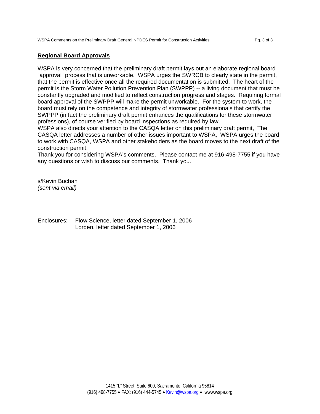## **Regional Board Approvals**

WSPA is very concerned that the preliminary draft permit lays out an elaborate regional board "approval" process that is unworkable. WSPA urges the SWRCB to clearly state in the permit, that the permit is effective once all the required documentation is submitted. The heart of the permit is the Storm Water Pollution Prevention Plan (SWPPP) -- a living document that must be constantly upgraded and modified to reflect construction progress and stages. Requiring formal board approval of the SWPPP will make the permit unworkable. For the system to work, the board must rely on the competence and integrity of stormwater professionals that certify the SWPPP (in fact the preliminary draft permit enhances the qualifications for these stormwater professions), of course verified by board inspections as required by law.

WSPA also directs your attention to the CASQA letter on this preliminary draft permit, The CASQA letter addresses a number of other issues important to WSPA, WSPA urges the board to work with CASQA, WSPA and other stakeholders as the board moves to the next draft of the construction permit.

Thank you for considering WSPA's comments. Please contact me at 916-498-7755 if you have any questions or wish to discuss our comments. Thank you.

s/Kevin Buchan *(sent via email)* 

Enclosures: Flow Science, letter dated September 1, 2006 Lorden, letter dated September 1, 2006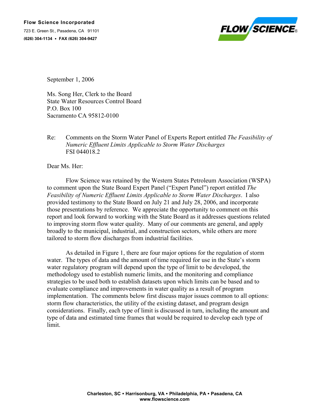

September 1, 2006

Ms. Song Her, Clerk to the Board State Water Resources Control Board P.O. Box 100 Sacramento CA 95812-0100

# Re: Comments on the Storm Water Panel of Experts Report entitled *The Feasibility of Numeric Effluent Limits Applicable to Storm Water Discharges* FSI 044018.2

Dear Ms. Her:

 Flow Science was retained by the Western States Petroleum Association (WSPA) to comment upon the State Board Expert Panel ("Expert Panel") report entitled *The Feasibility of Numeric Effluent Limits Applicable to Storm Water Discharges*. I also provided testimony to the State Board on July 21 and July 28, 2006, and incorporate those presentations by reference. We appreciate the opportunity to comment on this report and look forward to working with the State Board as it addresses questions related to improving storm flow water quality. Many of our comments are general, and apply broadly to the municipal, industrial, and construction sectors, while others are more tailored to storm flow discharges from industrial facilities.

As detailed in Figure 1, there are four major options for the regulation of storm water. The types of data and the amount of time required for use in the State's storm water regulatory program will depend upon the type of limit to be developed, the methodology used to establish numeric limits, and the monitoring and compliance strategies to be used both to establish datasets upon which limits can be based and to evaluate compliance and improvements in water quality as a result of program implementation. The comments below first discuss major issues common to all options: storm flow characteristics, the utility of the existing dataset, and program design considerations. Finally, each type of limit is discussed in turn, including the amount and type of data and estimated time frames that would be required to develop each type of limit.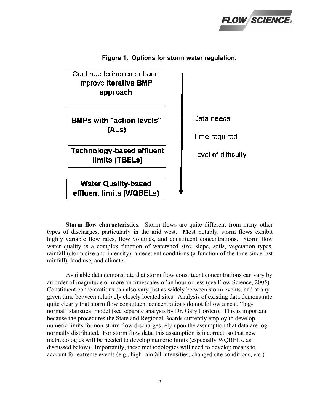



**Figure 1. Options for storm water regulation.** 

**Storm flow characteristics**. Storm flows are quite different from many other types of discharges, particularly in the arid west. Most notably, storm flows exhibit highly variable flow rates, flow volumes, and constituent concentrations. Storm flow water quality is a complex function of watershed size, slope, soils, vegetation types, rainfall (storm size and intensity), antecedent conditions (a function of the time since last rainfall), land use, and climate.

Available data demonstrate that storm flow constituent concentrations can vary by an order of magnitude or more on timescales of an hour or less (see Flow Science, 2005). Constituent concentrations can also vary just as widely between storm events, and at any given time between relatively closely located sites. Analysis of existing data demonstrate quite clearly that storm flow constituent concentrations do not follow a neat, "lognormal" statistical model (see separate analysis by Dr. Gary Lorden). This is important because the procedures the State and Regional Boards currently employ to develop numeric limits for non-storm flow discharges rely upon the assumption that data are lognormally distributed. For storm flow data, this assumption is incorrect, so that new methodologies will be needed to develop numeric limits (especially WQBELs, as discussed below). Importantly, these methodologies will need to develop means to account for extreme events (e.g., high rainfall intensities, changed site conditions, etc.)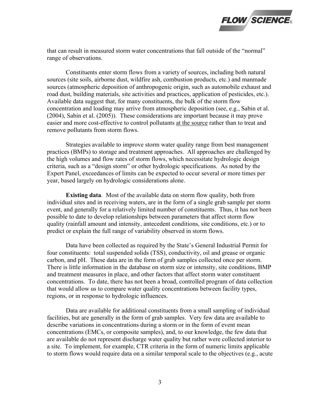

that can result in measured storm water concentrations that fall outside of the "normal" range of observations.

Constituents enter storm flows from a variety of sources, including both natural sources (site soils, airborne dust, wildfire ash, combustion products, etc.) and manmade sources (atmospheric deposition of anthropogenic origin, such as automobile exhaust and road dust, building materials, site activities and practices, application of pesticides, etc.). Available data suggest that, for many constituents, the bulk of the storm flow concentration and loading may arrive from atmospheric deposition (see, e.g., Sabin et al. (2004), Sabin et al. (2005)). These considerations are important because it may prove easier and more cost-effective to control pollutants at the source rather than to treat and remove pollutants from storm flows.

Strategies available to improve storm water quality range from best management practices (BMPs) to storage and treatment approaches. All approaches are challenged by the high volumes and flow rates of storm flows, which necessitate hydrologic design criteria, such as a "design storm" or other hydrologic specifications. As noted by the Expert Panel, exceedances of limits can be expected to occur several or more times per year, based largely on hydrologic considerations alone.

**Existing data**. Most of the available data on storm flow quality, both from individual sites and in receiving waters, are in the form of a single grab sample per storm event, and generally for a relatively limited number of constituents. Thus, it has not been possible to date to develop relationships between parameters that affect storm flow quality (rainfall amount and intensity, antecedent conditions, site conditions, etc.) or to predict or explain the full range of variability observed in storm flows.

Data have been collected as required by the State's General Industrial Permit for four constituents: total suspended solids (TSS), conductivity, oil and grease or organic carbon, and pH. These data are in the form of grab samples collected once per storm. There is little information in the database on storm size or intensity, site conditions, BMP and treatment measures in place, and other factors that affect storm water constituent concentrations. To date, there has not been a broad, controlled program of data collection that would allow us to compare water quality concentrations between facility types, regions, or in response to hydrologic influences.

Data are available for additional constituents from a small sampling of individual facilities, but are generally in the form of grab samples. Very few data are available to describe variations in concentrations during a storm or in the form of event mean concentrations (EMCs, or composite samples), and, to our knowledge, the few data that are available do not represent discharge water quality but rather were collected interior to a site. To implement, for example, CTR criteria in the form of numeric limits applicable to storm flows would require data on a similar temporal scale to the objectives (e.g., acute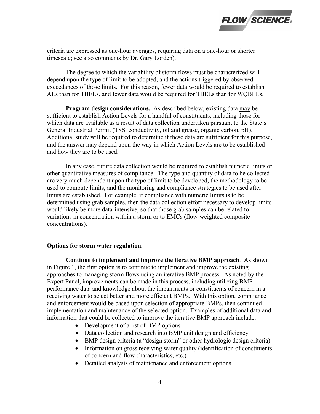

criteria are expressed as one-hour averages, requiring data on a one-hour or shorter timescale; see also comments by Dr. Gary Lorden).

The degree to which the variability of storm flows must be characterized will depend upon the type of limit to be adopted, and the actions triggered by observed exceedances of those limits. For this reason, fewer data would be required to establish ALs than for TBELs, and fewer data would be required for TBELs than for WQBELs.

**Program design considerations.** As described below, existing data may be sufficient to establish Action Levels for a handful of constituents, including those for which data are available as a result of data collection undertaken pursuant to the State's General Industrial Permit (TSS, conductivity, oil and grease, organic carbon, pH). Additional study will be required to determine if these data are sufficient for this purpose, and the answer may depend upon the way in which Action Levels are to be established and how they are to be used.

In any case, future data collection would be required to establish numeric limits or other quantitative measures of compliance. The type and quantity of data to be collected are very much dependent upon the type of limit to be developed, the methodology to be used to compute limits, and the monitoring and compliance strategies to be used after limits are established. For example, if compliance with numeric limits is to be determined using grab samples, then the data collection effort necessary to develop limits would likely be more data-intensive, so that those grab samples can be related to variations in concentration within a storm or to EMCs (flow-weighted composite concentrations).

## **Options for storm water regulation.**

**Continue to implement and improve the iterative BMP approach**. As shown in Figure 1, the first option is to continue to implement and improve the existing approaches to managing storm flows using an iterative BMP process. As noted by the Expert Panel, improvements can be made in this process, including utilizing BMP performance data and knowledge about the impairments or constituents of concern in a receiving water to select better and more efficient BMPs. With this option, compliance and enforcement would be based upon selection of appropriate BMPs, then continued implementation and maintenance of the selected option. Examples of additional data and information that could be collected to improve the iterative BMP approach include:

- Development of a list of BMP options
- Data collection and research into BMP unit design and efficiency
- BMP design criteria (a "design storm" or other hydrologic design criteria)
- Information on gross receiving water quality (identification of constituents of concern and flow characteristics, etc.)
- Detailed analysis of maintenance and enforcement options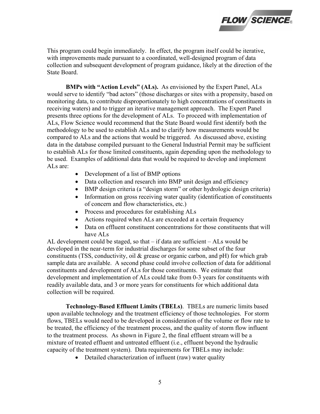

This program could begin immediately. In effect, the program itself could be iterative, with improvements made pursuant to a coordinated, well-designed program of data collection and subsequent development of program guidance, likely at the direction of the State Board.

**BMPs with "Action Levels" (ALs).** As envisioned by the Expert Panel, ALs would serve to identify "bad actors" (those discharges or sites with a propensity, based on monitoring data, to contribute disproportionately to high concentrations of constituents in receiving waters) and to trigger an iterative management approach. The Expert Panel presents three options for the development of ALs. To proceed with implementation of ALs, Flow Science would recommend that the State Board would first identify both the methodology to be used to establish ALs and to clarify how measurements would be compared to ALs and the actions that would be triggered. As discussed above, existing data in the database compiled pursuant to the General Industrial Permit may be sufficient to establish ALs for those limited constituents, again depending upon the methodology to be used. Examples of additional data that would be required to develop and implement ALs are:

- Development of a list of BMP options
- Data collection and research into BMP unit design and efficiency
- BMP design criteria (a "design storm" or other hydrologic design criteria)
- Information on gross receiving water quality (identification of constituents of concern and flow characteristics, etc.)
- Process and procedures for establishing ALs
- Actions required when ALs are exceeded at a certain frequency
- Data on effluent constituent concentrations for those constituents that will have ALs

AL development could be staged, so that  $-$  if data are sufficient  $-$  ALs would be developed in the near-term for industrial discharges for some subset of the four constituents (TSS, conductivity, oil & grease or organic carbon, and pH) for which grab sample data are available. A second phase could involve collection of data for additional constituents and development of ALs for those constituents. We estimate that development and implementation of ALs could take from 0-3 years for constituents with readily available data, and 3 or more years for constituents for which additional data collection will be required.

**Technology-Based Effluent Limits (TBELs)**. TBELs are numeric limits based upon available technology and the treatment efficiency of those technologies. For storm flows, TBELs would need to be developed in consideration of the volume or flow rate to be treated, the efficiency of the treatment process, and the quality of storm flow influent to the treatment process. As shown in Figure 2, the final effluent stream will be a mixture of treated effluent and untreated effluent (i.e., effluent beyond the hydraulic capacity of the treatment system). Data requirements for TBELs may include:

• Detailed characterization of influent (raw) water quality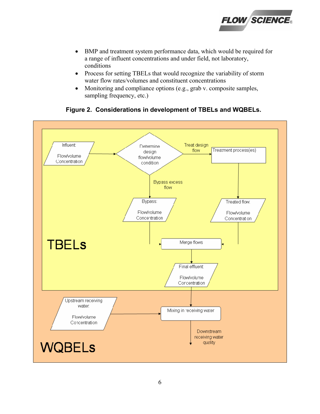

- BMP and treatment system performance data, which would be required for a range of influent concentrations and under field, not laboratory, conditions
- Process for setting TBELs that would recognize the variability of storm water flow rates/volumes and constituent concentrations
- Monitoring and compliance options (e.g., grab v. composite samples, sampling frequency, etc.)

# **Figure 2. Considerations in development of TBELs and WQBELs.**

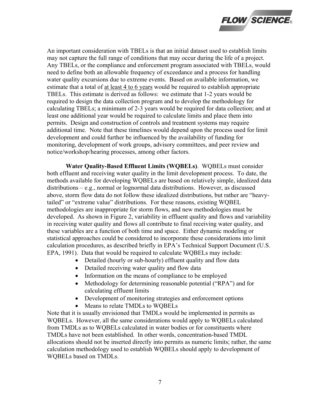

An important consideration with TBELs is that an initial dataset used to establish limits may not capture the full range of conditions that may occur during the life of a project. Any TBELs, or the compliance and enforcement program associated with TBELs, would need to define both an allowable frequency of exceedance and a process for handling water quality excursions due to extreme events. Based on available information, we estimate that a total of at least 4 to 6 years would be required to establish appropriate TBELs. This estimate is derived as follows: we estimate that 1-2 years would be required to design the data collection program and to develop the methodology for calculating TBELs; a minimum of 2-3 years would be required for data collection; and at least one additional year would be required to calculate limits and place them into permits. Design and construction of controls and treatment systems may require additional time. Note that these timelines would depend upon the process used for limit development and could further be influenced by the availability of funding for monitoring, development of work groups, advisory committees, and peer review and notice/workshop/hearing processes, among other factors.

**Water Quality-Based Effluent Limits (WQBELs)**. WQBELs must consider both effluent and receiving water quality in the limit development process. To date, the methods available for developing WQBELs are based on relatively simple, idealized data distributions – e.g., normal or lognormal data distributions. However, as discussed above, storm flow data do not follow these idealized distributions, but rather are "heavytailed" or "extreme value" distributions. For these reasons, existing WQBEL methodologies are inappropriate for storm flows, and new methodologies must be developed. As shown in Figure 2, variability in effluent quality and flows and variability in receiving water quality and flows all contribute to final receiving water quality, and these variables are a function of both time and space. Either dynamic modeling or statistical approaches could be considered to incorporate these considerations into limit calculation procedures, as described briefly in EPA's Technical Support Document (U.S. EPA, 1991). Data that would be required to calculate WQBELs may include:

- Detailed (hourly or sub-hourly) effluent quality and flow data
- Detailed receiving water quality and flow data
- Information on the means of compliance to be employed
- Methodology for determining reasonable potential ("RPA") and for calculating effluent limits
- Development of monitoring strategies and enforcement options
- Means to relate TMDLs to WQBELs

Note that it is usually envisioned that TMDLs would be implemented in permits as WQBELs. However, all the same considerations would apply to WQBELs calculated from TMDLs as to WQBELs calculated in water bodies or for constituents where TMDLs have not been established. In other words, concentration-based TMDL allocations should not be inserted directly into permits as numeric limits; rather, the same calculation methodology used to establish WQBELs should apply to development of WQBELs based on TMDLs.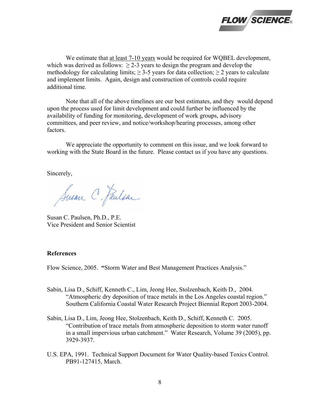

 We estimate that at least 7-10 years would be required for WQBEL development, which was derived as follows:  $\geq$  2-3 years to design the program and develop the methodology for calculating limits;  $\geq$  3-5 years for data collection;  $\geq$  2 years to calculate and implement limits. Again, design and construction of controls could require additional time.

Note that all of the above timelines are our best estimates, and they would depend upon the process used for limit development and could further be influenced by the availability of funding for monitoring, development of work groups, advisory committees, and peer review, and notice/workshop/hearing processes, among other factors.

 We appreciate the opportunity to comment on this issue, and we look forward to working with the State Board in the future. Please contact us if you have any questions.

Sincerely,

Susan C. Paulsan

Susan C. Paulsen, Ph.D., P.E. Vice President and Senior Scientist

### **References**

Flow Science, 2005. **"**Storm Water and Best Management Practices Analysis."

- Sabin, Lisa D., Schiff, Kenneth C., Lim, Jeong Hee, Stolzenbach, Keith D., 2004. "Atmospheric dry deposition of trace metals in the Los Angeles coastal region." Southern California Coastal Water Research Project Biennial Report 2003-2004.
- Sabin, Lisa D., Lim, Jeong Hee, Stolzenbach, Keith D., Schiff, Kenneth C. 2005. "Contribution of trace metals from atmospheric deposition to storm water runoff in a small impervious urban catchment." Water Research, Volume 39 (2005), pp. 3929-3937.
- U.S. EPA, 1991. Technical Support Document for Water Quality-based Toxics Control. PB91-127415, March.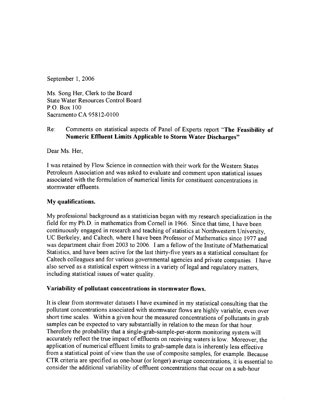September 1, 2006

Ms. Song Her, Clerk to the Board **State Water Resources Control Board** P.O. Box 100 Sacramento CA 95812-0100

#### Comments on statistical aspects of Panel of Experts report "The Feasibility of  $Re:$ **Numeric Effluent Limits Applicable to Storm Water Discharges"**

Dear Ms. Her,

I was retained by Flow Science in connection with their work for the Western States Petroleum Association and was asked to evaluate and comment upon statistical issues associated with the formulation of numerical limits for constituent concentrations in stormwater effluents

# My qualifications.

My professional background as a statistician began with my research specialization in the field for my Ph.D. in mathematics from Cornell in 1966. Since that time, I have been continuously engaged in research and teaching of statistics at Northwestern University, UC Berkeley, and Caltech, where I have been Professor of Mathematics since 1977 and was department chair from 2003 to 2006. I am a fellow of the Institute of Mathematical Statistics, and have been active for the last thirty-five years as a statistical consultant for Caltech colleagues and for various governmental agencies and private companies. I have also served as a statistical expert witness in a variety of legal and regulatory matters. including statistical issues of water quality.

# Variability of pollutant concentrations in stormwater flows.

It is clear from stormwater datasets I have examined in my statistical consulting that the pollutant concentrations associated with stormwater flows are highly variable, even over short time scales. Within a given hour the measured concentrations of pollutants in grab samples can be expected to vary substantially in relation to the mean for that hour. Therefore the probability that a single-grab-sample-per-storm monitoring system will accurately reflect the true impact of effluents on receiving waters is low. Moreover, the application of numerical effluent limits to grab-sample data is inherently less effective from a statistical point of view than the use of composite samples, for example. Because CTR criteria are specified as one-hour (or longer) average concentrations, it is essential to consider the additional variability of effluent concentrations that occur on a sub-hour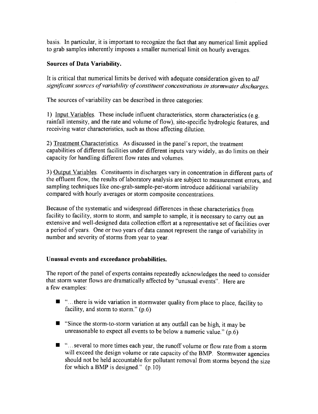basis. In particular, it is important to recognize the fact that any numerical limit applied to grab samples inherently imposes a smaller numerical limit on hourly averages.

# **Sources of Data Variability.**

It is critical that numerical limits be derived with adequate consideration given to all significant sources of variability of constituent concentrations in stormwater discharges.

The sources of variability can be described in three categories:

1) Input Variables. These include influent characteristics, storm characteristics (e.g. rainfall intensity, and the rate and volume of flow), site-specific hydrologic features, and receiving water characteristics, such as those affecting dilution.

2) Treatment Characteristics. As discussed in the panel's report, the treatment capabilities of different facilities under different inputs vary widely, as do limits on their capacity for handling different flow rates and volumes.

3) Output Variables. Constituents in discharges vary in concentration in different parts of the effluent flow, the results of laboratory analysis are subject to measurement errors, and sampling techniques like one-grab-sample-per-storm introduce additional variability compared with hourly averages or storm composite concentrations.

Because of the systematic and widespread differences in these characteristics from facility to facility, storm to storm, and sample to sample, it is necessary to carry out an extensive and well-designed data collection effort at a representative set of facilities over a period of vears. One or two years of data cannot represent the range of variability in number and severity of storms from year to year.

# Unusual events and exceedance probabilities.

The report of the panel of experts contains repeatedly acknowledges the need to consider that storm water flows are dramatically affected by "unusual events". Here are a few examples:

- "...there is wide variation in stormwater quality from place to place, facility to facility, and storm to storm."  $(p.6)$
- Since the storm-to-storm variation at any outfall can be high, it may be unreasonable to expect all events to be below a numeric value."  $(p.6)$
- "... several to more times each year, the runoff volume or flow rate from a storm will exceed the design volume or rate capacity of the BMP. Stormwater agencies should not be held accountable for pollutant removal from storms beyond the size for which a BMP is designed."  $(p.10)$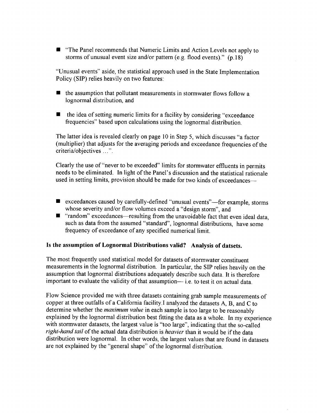**The Panel recommends that Numeric Limits and Action Levels not apply to** storms of unusual event size and/or pattern (e.g. flood events)." (p.18)

"Unusual events" aside, the statistical approach used in the State Implementation Policy (SIP) relies heavily on two features:

- the assumption that pollutant measurements in stormwater flows follow a lognormal distribution, and
- the idea of setting numeric limits for a facility by considering "exceedance" frequencies" based upon calculations using the lognormal distribution.

The latter idea is revealed clearly on page 10 in Step 5, which discusses "a factor (multiplier) that adjusts for the averaging periods and exceedance frequencies of the criteria/objectives ...".

Clearly the use of "never to be exceeded" limits for stormwater effluents in permits needs to be eliminated. In light of the Panel's discussion and the statistical rationale used in setting limits, provision should be made for two kinds of exceedances—

- exceedances caused by carefully-defined "unusual events"—for example, storms whose severity and/or flow volumes exceed a "design storm", and
- "random" exceedances—resulting from the unavoidable fact that even ideal data. such as data from the assumed "standard", lognormal distributions, have some frequency of exceedance of any specified numerical limit.

# Is the assumption of Lognormal Distributions valid? Analysis of datsets.

The most frequently used statistical model for datasets of stormwater constituent measurements in the lognormal distribution. In particular, the SIP relies heavily on the assumption that lognormal distributions adequately describe such data. It is therefore important to evaluate the validity of that assumption— i.e. to test it on actual data.

Flow Science provided me with three datasets containing grab sample measurements of copper at three outfalls of a California facility. I analyzed the datasets A, B, and C to determine whether the *maximum value* in each sample is too large to be reasonably explained by the lognormal distribution best fitting the data as a whole. In my experience with stormwater datasets, the largest value is "too large", indicating that the so-called right-hand tail of the actual data distribution is heavier than it would be if the data distribution were lognormal. In other words, the largest values that are found in datasets are not explained by the "general shape" of the lognormal distribution.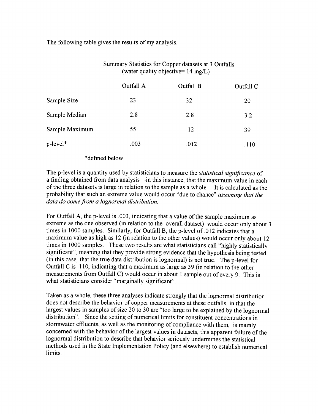The following table gives the results of my analysis.

|                | (water quality objective= $14 \text{ mg/L}$ ) |           |           |
|----------------|-----------------------------------------------|-----------|-----------|
|                | Outfall A                                     | Outfall B | Outfall C |
| Sample Size    | 23                                            | 32        | 20        |
| Sample Median  | 2.8                                           | 2.8       | 3.2       |
| Sample Maximum | 55                                            | 12        | 39        |
| p-level*       | .003                                          | .012      | .110      |

# Summary Statistics for Copper datasets at 3 Outfalls

# \*defined below

The p-level is a quantity used by statisticians to measure the *statistical significance* of a finding obtained from data analysis—in this instance, that the maximum value in each of the three datasets is large in relation to the sample as a whole. It is calculated as the probability that such an extreme value would occur "due to chance" assuming that the data do come from a lognormal distribution.

For Outfall A, the p-level is 0.03, indicating that a value of the sample maximum as extreme as the one observed (in relation to the overall dataset) would occur only about 3 times in 1000 samples. Similarly, for Outfall B, the p-level of 012 indicates that a maximum value as high as 12 (in relation to the other values) would occur only about 12 times in 1000 samples. These two results are what statisticians call "highly statistically significant", meaning that they provide strong evidence that the hypothesis being tested (in this case, that the true data distribution is lognormal) is not true. The p-level for Outfall C is .110, indicating that a maximum as large as 39 (in relation to the other measurements from Outfall C) would occur in about 1 sample out of every 9. This is what statisticians consider "marginally significant".

Taken as a whole, these three analyses indicate strongly that the lognormal distribution does not describe the behavior of copper measurements at these outfalls, in that the largest values in samples of size 20 to 30 are "too large to be explained by the lognormal distribution". Since the setting of numerical limits for constituent concentrations in stormwater effluents, as well as the monitoring of compliance with them, is mainly concerned with the behavior of the largest values in datasets, this apparent failure of the lognormal distribution to describe that behavior seriously undermines the statistical methods used in the State Implementation Policy (and elsewhere) to establish numerical limits.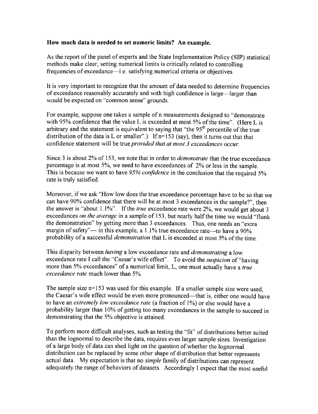# How much data is needed to set numeric limits? An example.

As the report of the panel of experts and the State Implementation Policy (SIP) statistical methods make clear, setting numerical limits is critically related to controlling frequencies of exceedance—i.e. satisfying numerical criteria or objectives.

It is very important to recognize that the amount of data needed to determine frequencies of exceedance reasonably accurately and with high confidence is large—larger than would be expected on "common sense" grounds.

For example, suppose one takes a sample of n measurements designed to "demonstrate with 95% confidence that the value L is exceeded at most 5% of the time". (Here L is arbitrary and the statement is equivalent to saying that "the 95<sup>th</sup> percentile of the true distribution of the data is L or smaller".) If  $n=153$  (say), then it turns out that that confidence statement will be true provided that at most 3 exceedances occur.

Since 3 is about 2% of 153, we note that in order to *demonstrate* that the true exceedance percentage is at most 5%, we need to have exceedances of 2% or less in the sample. This is because we want to have 95% confidence in the conclusion that the required 5% rate is truly satisfied.

Moreover, if we ask "How low does the true exceedance percentage have to be so that we can have 90% confidence that there will be at most 3 exceedances in the sample?", then the answer is "about  $1.1\%$ ". If the *true* exceedance rate were  $2\%$ , we would get about 3 exceedances on the average in a sample of 153, but nearly half the time we would "flunk the demonstration" by getting more than 3 exceedances. Thus, one needs an "extra margin of safety"— in this example, a 1.1% true exceedance rate—to have a 90% probability of a successful *demonstration* that L is exceeded at most 5% of the time.

This disparity between having a low exceedance rate and *demonstrating* a low exceedance rate I call the "Caesar's wife effect". To avoid the *suspicion* of "having more than 5% exceedances" of a numerical limit, L, one must actually have a true exceedance rate much lower than 5%.

The sample size  $n=153$  was used for this example. If a smaller sample size were used, the Caesar's wife effect would be even more pronounced—that is, either one would have to have an extremely low exceedance rate (a fraction of 1%) or else would have a probability larger than 10% of getting too many exceedances in the sample to succeed in demonstrating that the 5% objective is attained.

To perform more difficult analyses, such as testing the "fit" of distributions better suited than the lognormal to describe the data, requires even larger sample sizes. Investigation of a large body of data can shed light on the question of whether the lognormal distribution can be replaced by some other shape of distribution that better represents actual data. My expectation is that no *simple* family of distributions can represent adequately the range of behaviors of datasets. Accordingly I expect that the most useful